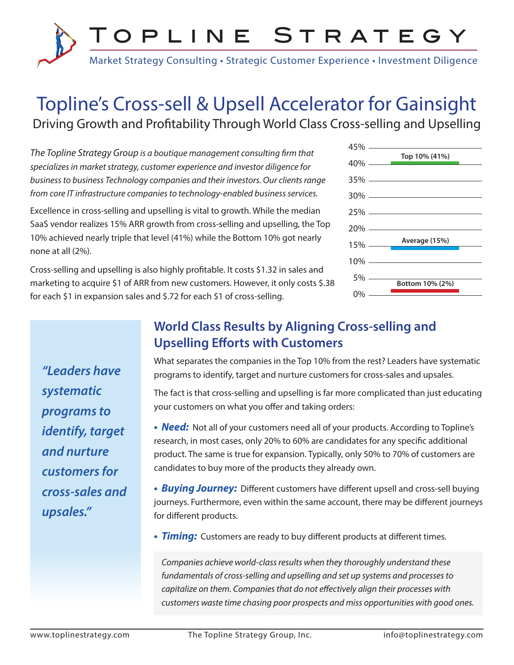

# Topline's Cross-sell & Upsell Accelerator for Gainsight Driving Growth and Profitability Through World Class Cross-selling and Upselling

*The Topline Strategy Group is a boutique management consulting firm that specializes in market strategy, customer experience and investor diligence for business to business Technology companies and their investors. Our clients range from core IT infrastructure companies to technology-enabled business services.*

Excellence in cross-selling and upselling is vital to growth. While the median SaaS vendor realizes 15% ARR growth from cross-selling and upselling, the Top 10% achieved nearly triple that level (41%) while the Bottom 10% got nearly none at all (2%).

Cross-selling and upselling is also highly profitable. It costs \$1.32 in sales and marketing to acquire \$1 of ARR from new customers. However, it only costs \$.38 for each \$1 in expansion sales and \$.72 for each \$1 of cross-selling.

| $45\%$ $-$ |                   |
|------------|-------------------|
| $40\%$ —   | Top 10% (41%)     |
|            | $35\%$ ————————   |
|            | $30\%$ ————————   |
|            | $25\%$ ————       |
| $20\%$ —   |                   |
|            | 15% Average (15%) |
| $10\% -$   |                   |
| 5%         | Bottom 10% (2%)   |
| 0%         |                   |

*"Leaders have systematic programs to identify, target and nurture customers for cross-sales and upsales."*

## **World Class Results by Aligning Cross-selling and Upselling Efforts with Customers**

What separates the companies in the Top 10% from the rest? Leaders have systematic programs to identify, target and nurture customers for cross-sales and upsales.

The fact is that cross-selling and upselling is far more complicated than just educating your customers on what you offer and taking orders:

• **Need:** Not all of your customers need all of your products. According to Topline's research, in most cases, only 20% to 60% are candidates for any specific additional product. The same is true for expansion. Typically, only 50% to 70% of customers are candidates to buy more of the products they already own.

**•** *Buying Journey:* Different customers have different upsell and cross-sell buying journeys. Furthermore, even within the same account, there may be different journeys for different products.

**•** *Timing:* Customers are ready to buy different products at different times.

*Companies achieve world-class results when they thoroughly understand these fundamentals of cross-selling and upselling and set up systems and processes to capitalize on them. Companies that do not effectively align their processes with customers waste time chasing poor prospects and miss opportunities with good ones.*